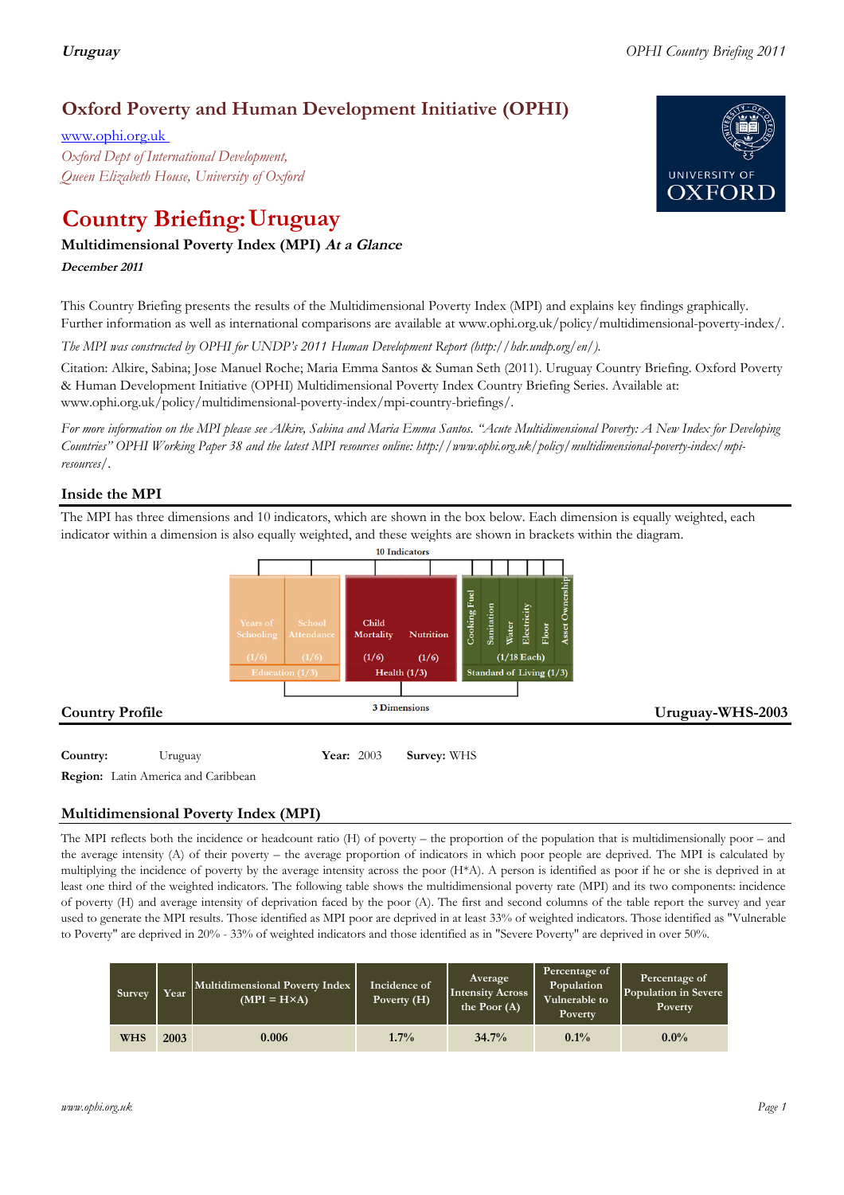# **Oxford Poverty and Human Development Initiative (OPHI)**

www.ophi.org.uk *Oxford Dept of International Development, Queen Elizabeth House, University of Oxford*

# **Country Briefing: Uruguay**

# **Multidimensional Poverty Index (MPI) At <sup>a</sup> Glance**

**December <sup>2011</sup>**

This Country Briefing presents the results of the Multidimensional Poverty Index (MPI) and explains key findings graphically. Further information as well as international comparisons are available at www.ophi.org.uk/policy/multidimensional-poverty-index/.

*The MPI was constructed by OPHI for UNDP's 2011 Human Development Report (http://hdr.undp.org/en/).*

Citation: Alkire, Sabina; Jose Manuel Roche; Maria Emma Santos & Suman Seth (2011). Uruguay Country Briefing. Oxford Poverty & Human Development Initiative (OPHI) Multidimensional Poverty Index Country Briefing Series. Available at: www.ophi.org.uk/policy/multidimensional-poverty-index/mpi-country-briefings/.

*For more information on the MPI please see Alkire, Sabina and Maria Emma Santos. "Acute Multidimensional Poverty: A New Index for Developing Countries" OPHI Working Paper 38 and the latest MPI resources online: http://www.ophi.org.uk/policy/multidimensional-poverty-index/mpiresources/.*

# **Inside the MPI**

The MPI has three dimensions and 10 indicators, which are shown in the box below. Each dimension is equally weighted, each indicator within a dimension is also equally weighted, and these weights are shown in brackets within the diagram.



**Country:** 3 Uruguay 103 **Year:** 2003 **Survey:** WHS

**Region:** Latin America and Caribbean

# **Multidimensional Poverty Index (MPI)**

The MPI reflects both the incidence or headcount ratio (H) of poverty – the proportion of the population that is multidimensionally poor – and the average intensity (A) of their poverty – the average proportion of indicators in which poor people are deprived. The MPI is calculated by multiplying the incidence of poverty by the average intensity across the poor (H\*A). A person is identified as poor if he or she is deprived in at least one third of the weighted indicators. The following table shows the multidimensional poverty rate (MPI) and its two components: incidence of poverty (H) and average intensity of deprivation faced by the poor (A). The first and second columns of the table report the survey and year used to generate the MPI results. Those identified as MPI poor are deprived in at least 33% of weighted indicators. Those identified as "Vulnerable to Poverty" are deprived in 20% - 33% of weighted indicators and those identified as in "Severe Poverty" are deprived in over 50%.

| Survey     | Year | Multidimensional Poverty Index<br>$(MPI = H \times A)$ | Incidence of<br>Poverty $(H)$ | Average<br><b>Intensity Across</b><br>the Poor $(A)$ | Percentage of<br>Population<br>Vulnerable to<br>Poverty | Percentage of<br>Population in Severe<br>Poverty |
|------------|------|--------------------------------------------------------|-------------------------------|------------------------------------------------------|---------------------------------------------------------|--------------------------------------------------|
| <b>WHS</b> | 2003 | 0.006                                                  | 1.7%                          | 34.7%                                                | $0.1\%$                                                 | $0.0\%$                                          |

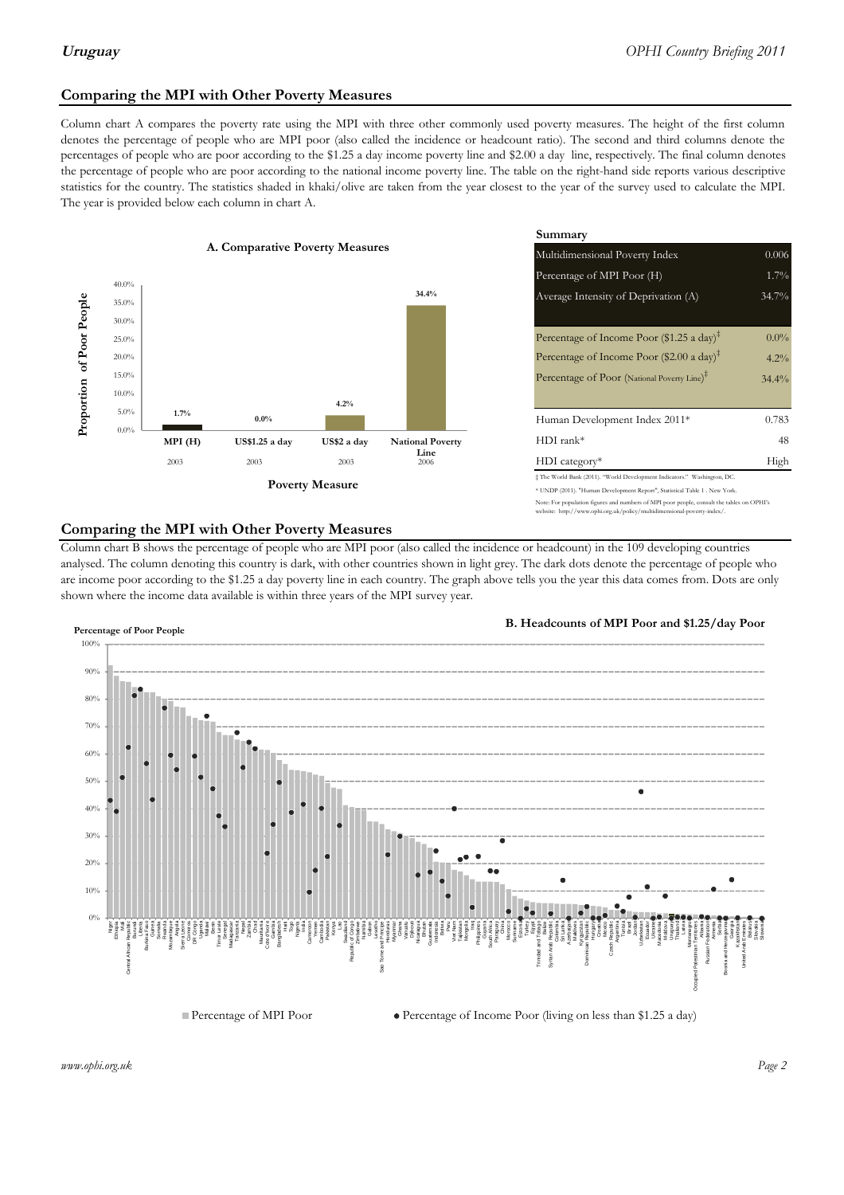# **Comparing the MPI with Other Poverty Measures**

Column chart A compares the poverty rate using the MPI with three other commonly used poverty measures. The height of the first column denotes the percentage of people who are MPI poor (also called the incidence or headcount ratio). The second and third columns denote the percentages of people who are poor according to the \$1.25 a day income poverty line and \$2.00 a day line, respectively. The final column denotes the percentage of people who are poor according to the national income poverty line. The table on the right-hand side reports various descriptive statistics for the country. The statistics shaded in khaki/olive are taken from the year closest to the year of the survey used to calculate the MPI. The year is provided below each column in chart A.



|                 |                         | Summary                                                                                                                                                    |          |  |  |
|-----------------|-------------------------|------------------------------------------------------------------------------------------------------------------------------------------------------------|----------|--|--|
| erty Measures   |                         | 0.006<br>Multidimensional Poverty Index                                                                                                                    |          |  |  |
|                 |                         | Percentage of MPI Poor (H)                                                                                                                                 | 1.7%     |  |  |
|                 | 34.4%                   | Average Intensity of Deprivation (A)                                                                                                                       | 34.7%    |  |  |
|                 |                         |                                                                                                                                                            |          |  |  |
|                 |                         | Percentage of Income Poor (\$1.25 a day) <sup><math>\ddagger</math></sup>                                                                                  | $0.0\%$  |  |  |
|                 |                         | Percentage of Income Poor (\$2.00 a day) <sup><math>\bar{x}</math></sup>                                                                                   | $4.2\%$  |  |  |
|                 |                         | Percentage of Poor (National Poverty Line) <sup>#</sup>                                                                                                    | $34.4\%$ |  |  |
| 4.2%            |                         |                                                                                                                                                            |          |  |  |
|                 |                         | Human Development Index 2011*                                                                                                                              | 0.783    |  |  |
| US\$2 a day     | <b>National Poverty</b> | $HDI$ rank*                                                                                                                                                |          |  |  |
| 2003            | Line<br>2006            | $HDI category*$                                                                                                                                            | High     |  |  |
| <b>⁄Ieasure</b> |                         | $\pm$ The World Bank (2011). "World Development Indicators." Washington, DC.<br>* UNDP (2011). "Human Development Report", Statistical Table 1 . New York. |          |  |  |

te: For population figures and numbers of MPI poor people, consult the tables on OPHI's te: http://www.ophi.org.uk/policy/multidimensional-poverty-index/

## **Comparing the MPI with Other Poverty Measures**

Column chart B shows the percentage of people who are MPI poor (also called the incidence or headcount) in the 109 developing countries analysed. The column denoting this country is dark, with other countries shown in light grey. The dark dots denote the percentage of people who are income poor according to the \$1.25 a day poverty line in each country. The graph above tells you the year this data comes from. Dots are only shown where the income data available is within three years of the MPI survey year.



**B. Headcounts of MPI Poor and \$1.25/day Poor**



*www.ophi.org.uk Page 2*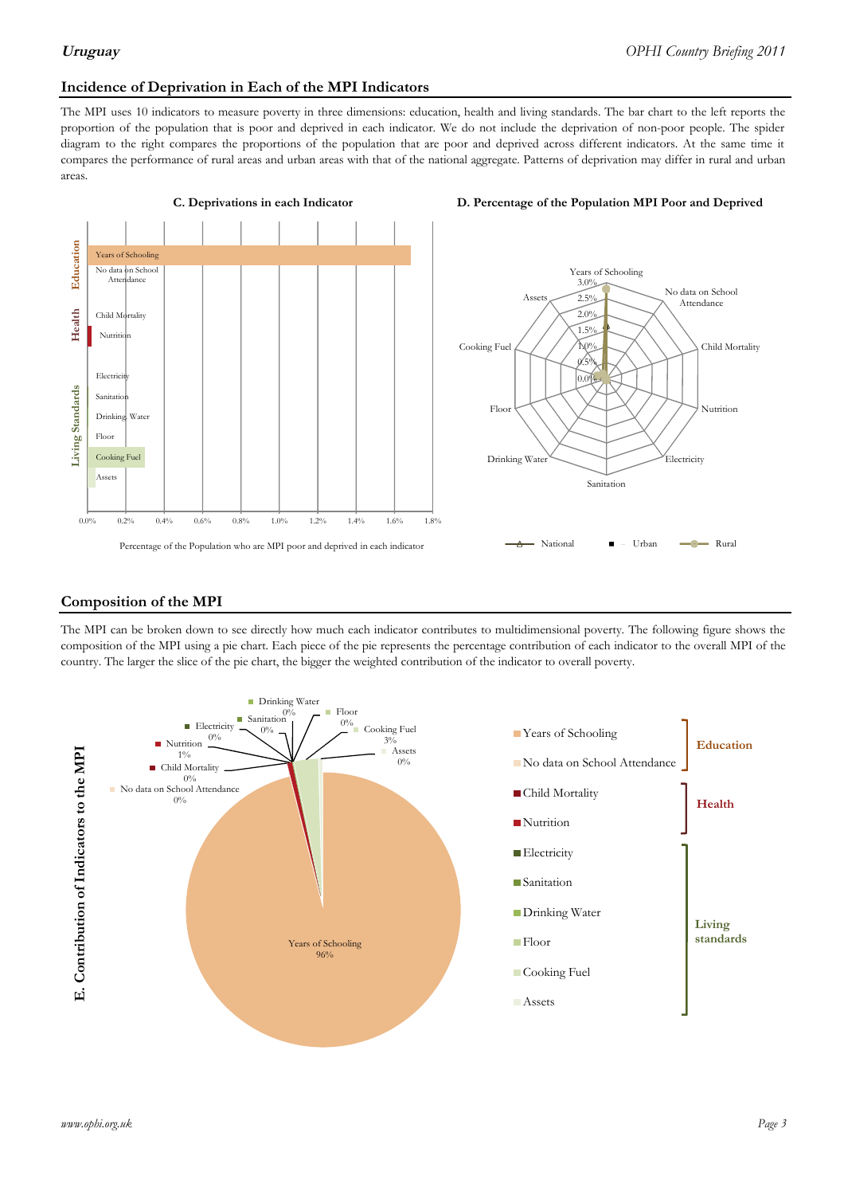## **Incidence of Deprivation in Each of the MPI Indicators**

The MPI uses 10 indicators to measure poverty in three dimensions: education, health and living standards. The bar chart to the left reports the proportion of the population that is poor and deprived in each indicator. We do not include the deprivation of non-poor people. The spider diagram to the right compares the proportions of the population that are poor and deprived across different indicators. At the same time it compares the performance of rural areas and urban areas with that of the national aggregate. Patterns of deprivation may differ in rural and urban areas.



### **Composition of the MPI**

The MPI can be broken down to see directly how much each indicator contributes to multidimensional poverty. The following figure shows the composition of the MPI using a pie chart. Each piece of the pie represents the percentage contribution of each indicator to the overall MPI of the country. The larger the slice of the pie chart, the bigger the weighted contribution of the indicator to overall poverty.